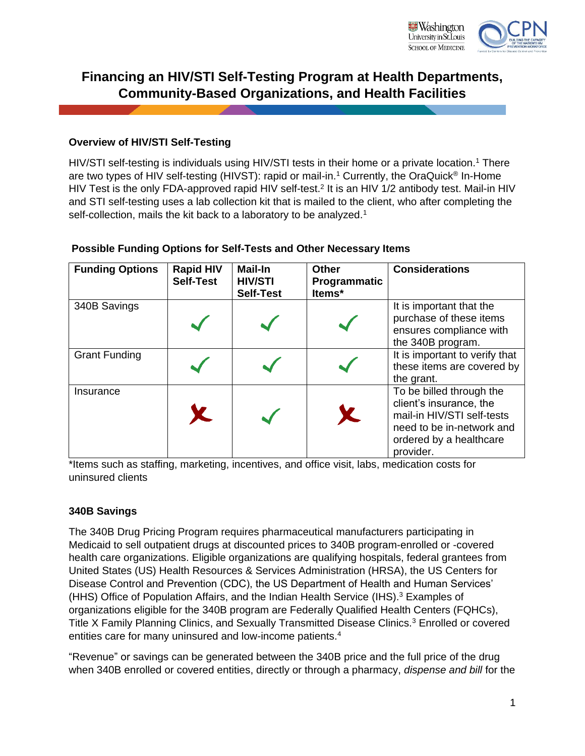

# **Financing an HIV/STI Self-Testing Program at Health Departments, Community-Based Organizations, and Health Facilities**

## **Overview of HIV/STI Self-Testing**

HIV/STI self-testing is individuals using HIV/STI tests in their home or a private location.<sup>1</sup> There are two types of HIV self-testing (HIVST): rapid or mail-in.<sup>1</sup> Currently, the OraQuick<sup>®</sup> In-Home HIV Test is the only FDA-approved rapid HIV self-test.<sup>2</sup> It is an HIV 1/2 antibody test. Mail-in HIV and STI self-testing uses a lab collection kit that is mailed to the client, who after completing the self-collection, mails the kit back to a laboratory to be analyzed.<sup>1</sup>

| <b>Funding Options</b> | <b>Rapid HIV</b><br><b>Self-Test</b> | <b>Mail-In</b><br><b>HIV/STI</b><br><b>Self-Test</b> | <b>Other</b><br>Programmatic<br>Items* | <b>Considerations</b>                                                                                                                                  |
|------------------------|--------------------------------------|------------------------------------------------------|----------------------------------------|--------------------------------------------------------------------------------------------------------------------------------------------------------|
| 340B Savings           |                                      |                                                      |                                        | It is important that the<br>purchase of these items<br>ensures compliance with<br>the 340B program.                                                    |
| <b>Grant Funding</b>   |                                      |                                                      |                                        | It is important to verify that<br>these items are covered by<br>the grant.                                                                             |
| Insurance              |                                      |                                                      | K.                                     | To be billed through the<br>client's insurance, the<br>mail-in HIV/STI self-tests<br>need to be in-network and<br>ordered by a healthcare<br>provider. |

## **Possible Funding Options for Self-Tests and Other Necessary Items**

\*Items such as staffing, marketing, incentives, and office visit, labs, medication costs for uninsured clients

## **340B Savings**

The 340B Drug Pricing Program requires pharmaceutical manufacturers participating in Medicaid to sell outpatient drugs at discounted prices to 340B program-enrolled or -covered health care organizations. Eligible organizations are qualifying hospitals, federal grantees from United States (US) Health Resources & Services Administration (HRSA), the US Centers for Disease Control and Prevention (CDC), the US Department of Health and Human Services' (HHS) Office of Population Affairs, and the Indian Health Service (IHS). <sup>3</sup> Examples of organizations eligible for the 340B program are Federally Qualified Health Centers (FQHCs), Title X Family Planning Clinics, and Sexually Transmitted Disease Clinics.<sup>3</sup> Enrolled or covered entities care for many uninsured and low-income patients.<sup>4</sup>

"Revenue" or savings can be generated between the 340B price and the full price of the drug when 340B enrolled or covered entities, directly or through a pharmacy, *dispense and bill* for the